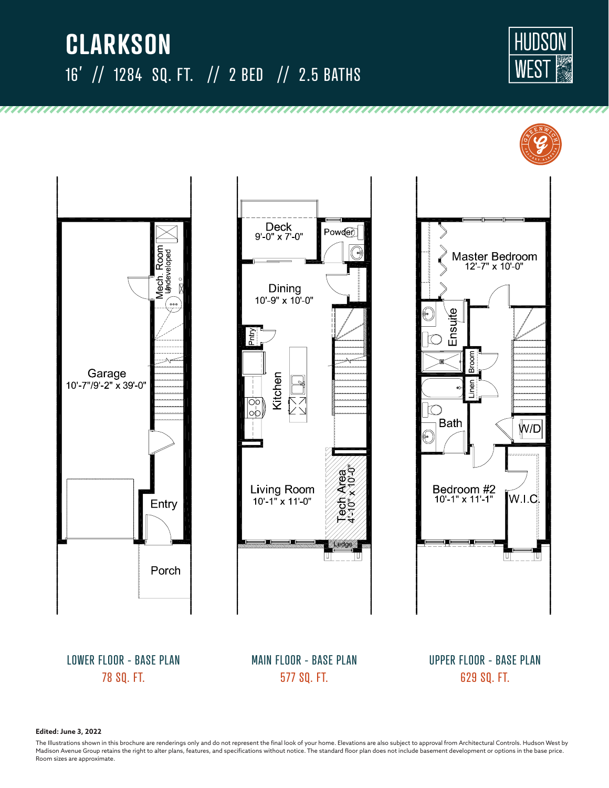# **CLARKSON** 16' // 1284 SQ. FT. // 2 BED // 2.5 BATHS

,,,,,,,,,,,,,,,,,,,,,,,,,,,,,,,,,











LOWER FLOOR - BASE PLAN 78 SQ. FT.

MAIN FLOOR - BASE PLAN 577 SQ. FT.

UPPER FLOOR - BASE PLAN 629 SQ. FT.

**Edited: June 3, 2022**

The Illustrations shown in this brochure are renderings only and do not represent the final look of your home. Elevations are also subject to approval from Architectural Controls. Hudson West by Madison Avenue Group retains the right to alter plans, features, and specifications without notice. The standard floor plan does not include basement development or options in the base price. Room sizes are approximate.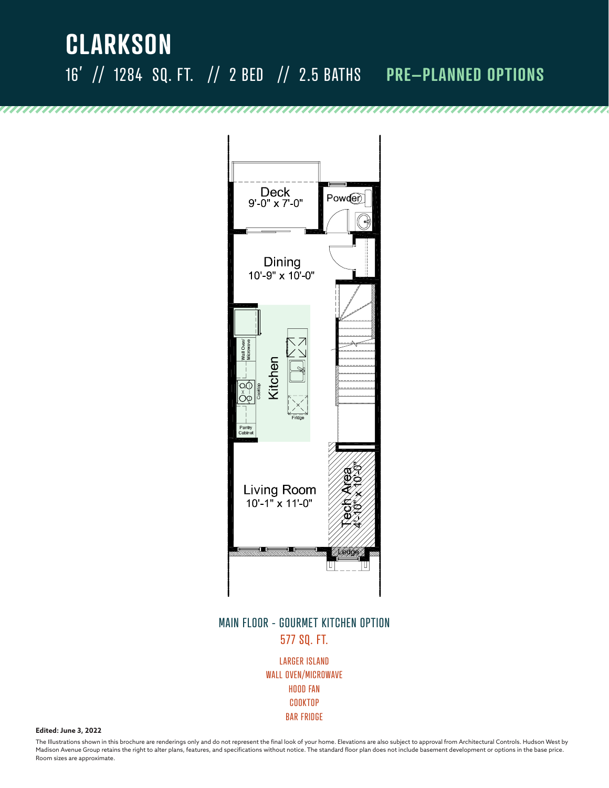## **CLARKSON** 16' // 1284 SQ. FT. // 2 BED // 2.5 BATHS **PRE–PLANNED OPTIONS**



#### MAIN FLOOR - GOURMET KITCHEN OPTION 577 SQ. FT.

LARGER ISLAND WALL OVEN/MICROWAVE HOOD FAN COOKTOP BAR FRIDGE

**Edited: June 3, 2022**

The Illustrations shown in this brochure are renderings only and do not represent the final look of your home. Elevations are also subject to approval from Architectural Controls. Hudson West by Madison Avenue Group retains the right to alter plans, features, and specifications without notice. The standard floor plan does not include basement development or options in the base price. Room sizes are approximate.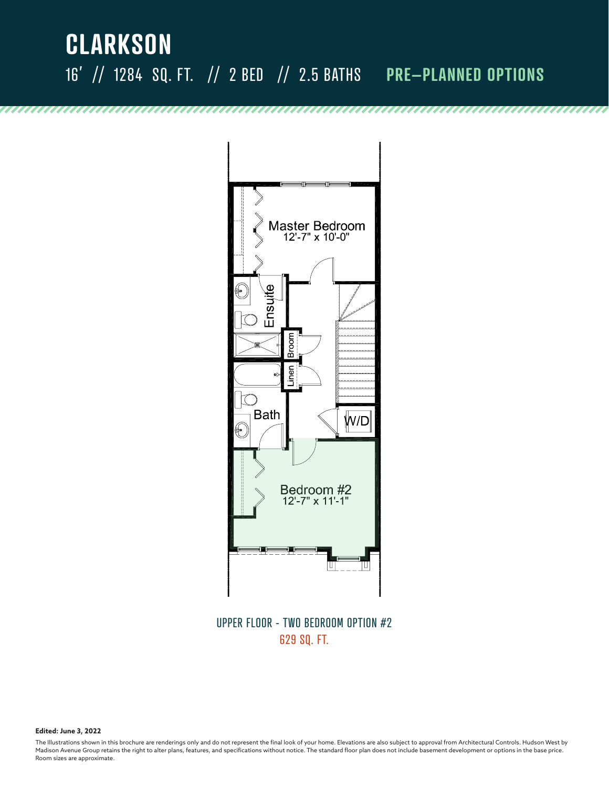## **CLARKSON** 16' // 1284 SQ. FT. // 2 BED // 2.5 BATHS **PRE–PLANNED OPTIONS**



UPPER FLOOR - TWO BEDROOM OPTION #2 629 SQ. FT.

**Edited: June 3, 2022**

,,,,,,,,,,,,,,,,,,,,,,,

The Illustrations shown in this brochure are renderings only and do not represent the final look of your home. Elevations are also subject to approval from Architectural Controls. Hudson West by Madison Avenue Group retains the right to alter plans, features, and specifications without notice. The standard floor plan does not include basement development or options in the base price. Room sizes are approximate.